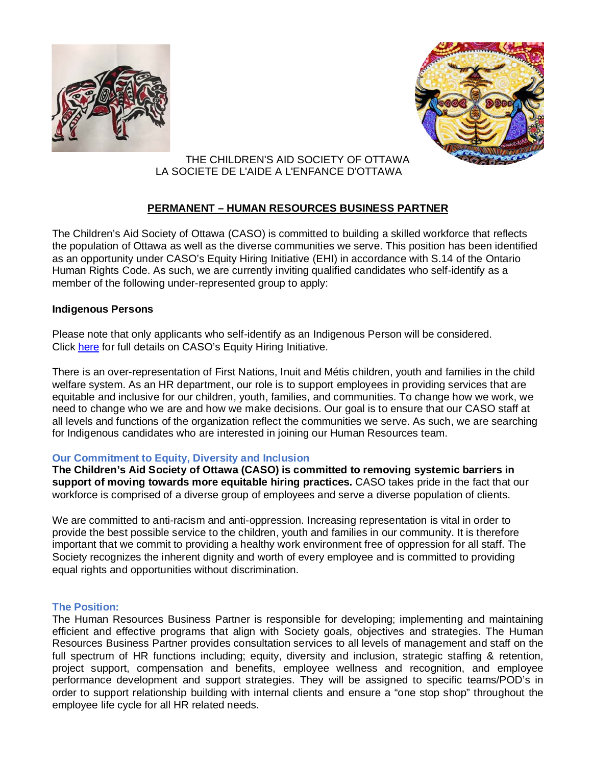



### THE CHILDREN'S AID SOCIETY OF OTTAWA LA SOCIETE DE L'AIDE A L'ENFANCE D'OTTAWA

# **PERMANENT – HUMAN RESOURCES BUSINESS PARTNER**

The Children's Aid Society of Ottawa (CASO) is committed to building a skilled workforce that reflects the population of Ottawa as well as the diverse communities we serve. This position has been identified as an opportunity under CASO's Equity Hiring Initiative (EHI) in accordance with S.14 of the Ontario Human Rights Code. As such, we are currently inviting qualified candidates who self-identify as a member of the following under-represented group to apply:

### **Indigenous Persons**

Please note that only applicants who self-identify as an Indigenous Person will be considered. Click [here](https://www.casott.on.ca/en/careers/equity-hiring-initiative/) for full details on CASO's Equity Hiring Initiative.

There is an over-representation of First Nations, Inuit and Métis children, youth and families in the child welfare system. As an HR department, our role is to support employees in providing services that are equitable and inclusive for our children, youth, families, and communities. To change how we work, we need to change who we are and how we make decisions. Our goal is to ensure that our CASO staff at all levels and functions of the organization reflect the communities we serve. As such, we are searching for Indigenous candidates who are interested in joining our Human Resources team.

# **Our Commitment to Equity, Diversity and Inclusion**

**The Children's Aid Society of Ottawa (CASO) is committed to removing systemic barriers in support of moving towards more equitable hiring practices.** CASO takes pride in the fact that our workforce is comprised of a diverse group of employees and serve a diverse population of clients.

We are committed to anti-racism and anti-oppression. Increasing representation is vital in order to provide the best possible service to the children, youth and families in our community. It is therefore important that we commit to providing a healthy work environment free of oppression for all staff. The Society recognizes the inherent dignity and worth of every employee and is committed to providing equal rights and opportunities without discrimination.

# **The Position:**

The Human Resources Business Partner is responsible for developing; implementing and maintaining efficient and effective programs that align with Society goals, objectives and strategies. The Human Resources Business Partner provides consultation services to all levels of management and staff on the full spectrum of HR functions including; equity, diversity and inclusion, strategic staffing & retention, project support, compensation and benefits, employee wellness and recognition, and employee performance development and support strategies. They will be assigned to specific teams/POD's in order to support relationship building with internal clients and ensure a "one stop shop" throughout the employee life cycle for all HR related needs.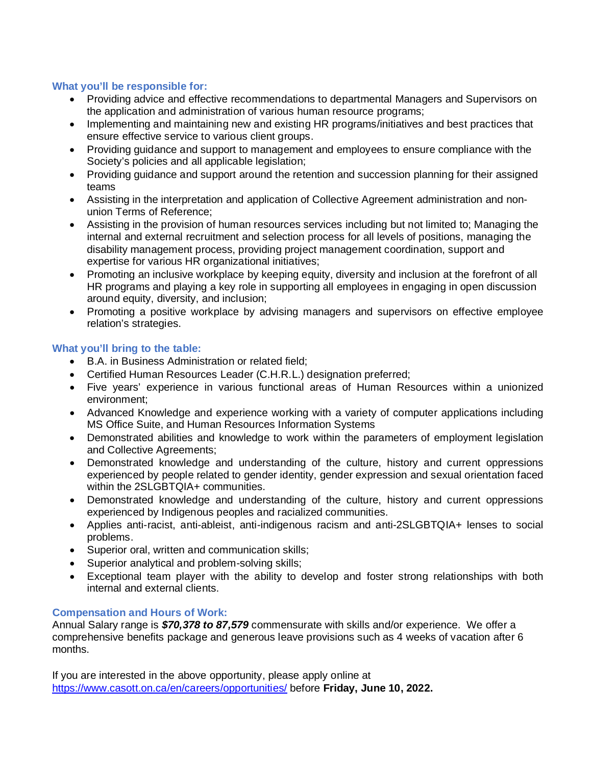#### **What you'll be responsible for:**

- Providing advice and effective recommendations to departmental Managers and Supervisors on the application and administration of various human resource programs;
- Implementing and maintaining new and existing HR programs/initiatives and best practices that ensure effective service to various client groups.
- Providing guidance and support to management and employees to ensure compliance with the Society's policies and all applicable legislation;
- Providing guidance and support around the retention and succession planning for their assigned teams
- Assisting in the interpretation and application of Collective Agreement administration and nonunion Terms of Reference;
- Assisting in the provision of human resources services including but not limited to; Managing the internal and external recruitment and selection process for all levels of positions, managing the disability management process, providing project management coordination, support and expertise for various HR organizational initiatives;
- Promoting an inclusive workplace by keeping equity, diversity and inclusion at the forefront of all HR programs and playing a key role in supporting all employees in engaging in open discussion around equity, diversity, and inclusion;
- Promoting a positive workplace by advising managers and supervisors on effective employee relation's strategies.

### **What you'll bring to the table:**

- B.A. in Business Administration or related field;
- Certified Human Resources Leader (C.H.R.L.) designation preferred;
- Five years' experience in various functional areas of Human Resources within a unionized environment;
- Advanced Knowledge and experience working with a variety of computer applications including MS Office Suite, and Human Resources Information Systems
- Demonstrated abilities and knowledge to work within the parameters of employment legislation and Collective Agreements;
- Demonstrated knowledge and understanding of the culture, history and current oppressions experienced by people related to gender identity, gender expression and sexual orientation faced within the 2SLGBTQIA+ communities.
- Demonstrated knowledge and understanding of the culture, history and current oppressions experienced by Indigenous peoples and racialized communities.
- Applies anti-racist, anti-ableist, anti-indigenous racism and anti-2SLGBTQIA+ lenses to social problems.
- Superior oral, written and communication skills;
- Superior analytical and problem-solving skills;
- Exceptional team player with the ability to develop and foster strong relationships with both internal and external clients.

### **Compensation and Hours of Work:**

Annual Salary range is *\$70,378 to 87,579* commensurate with skills and/or experience. We offer a comprehensive benefits package and generous leave provisions such as 4 weeks of vacation after 6 months.

If you are interested in the above opportunity, please apply online at <https://www.casott.on.ca/en/careers/opportunities/> before **Friday, June 10, 2022.**